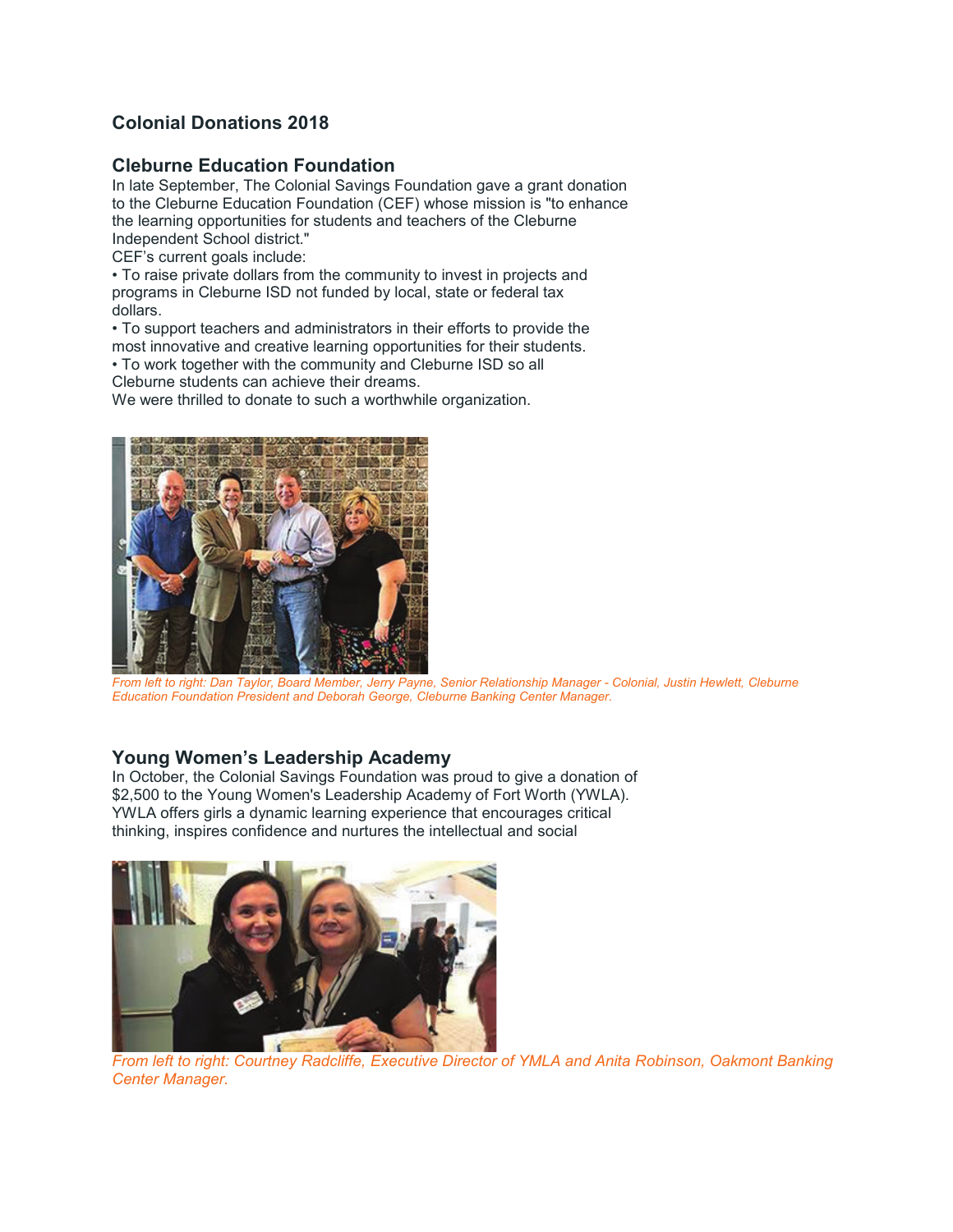# **Colonial Donations 2018**

### **Cleburne Education Foundation**

In late September, The Colonial Savings Foundation gave a grant donation to the Cleburne Education Foundation (CEF) whose mission is "to enhance the learning opportunities for students and teachers of the Cleburne Independent School district."

CEF's current goals include:

• To raise private dollars from the community to invest in projects and programs in Cleburne ISD not funded by local, state or federal tax dollars.

• To support teachers and administrators in their efforts to provide the most innovative and creative learning opportunities for their students.

• To work together with the community and Cleburne ISD so all

Cleburne students can achieve their dreams.

We were thrilled to donate to such a worthwhile organization.



*From left to right: Dan Taylor, Board Member, Jerry Payne, Senior Relationship Manager - Colonial, Justin Hewlett, Cleburne Education Foundation President and Deborah George, Cleburne Banking Center Manager.* 

## **Young Women's Leadership Academy**

In October, the Colonial Savings Foundation was proud to give a donation of \$2,500 to the Young Women's Leadership Academy of Fort Worth (YWLA). YWLA offers girls a dynamic learning experience that encourages critical thinking, inspires confidence and nurtures the intellectual and social



*From left to right: Courtney Radcliffe, Executive Director of YMLA and Anita Robinson, Oakmont Banking Center Manager.*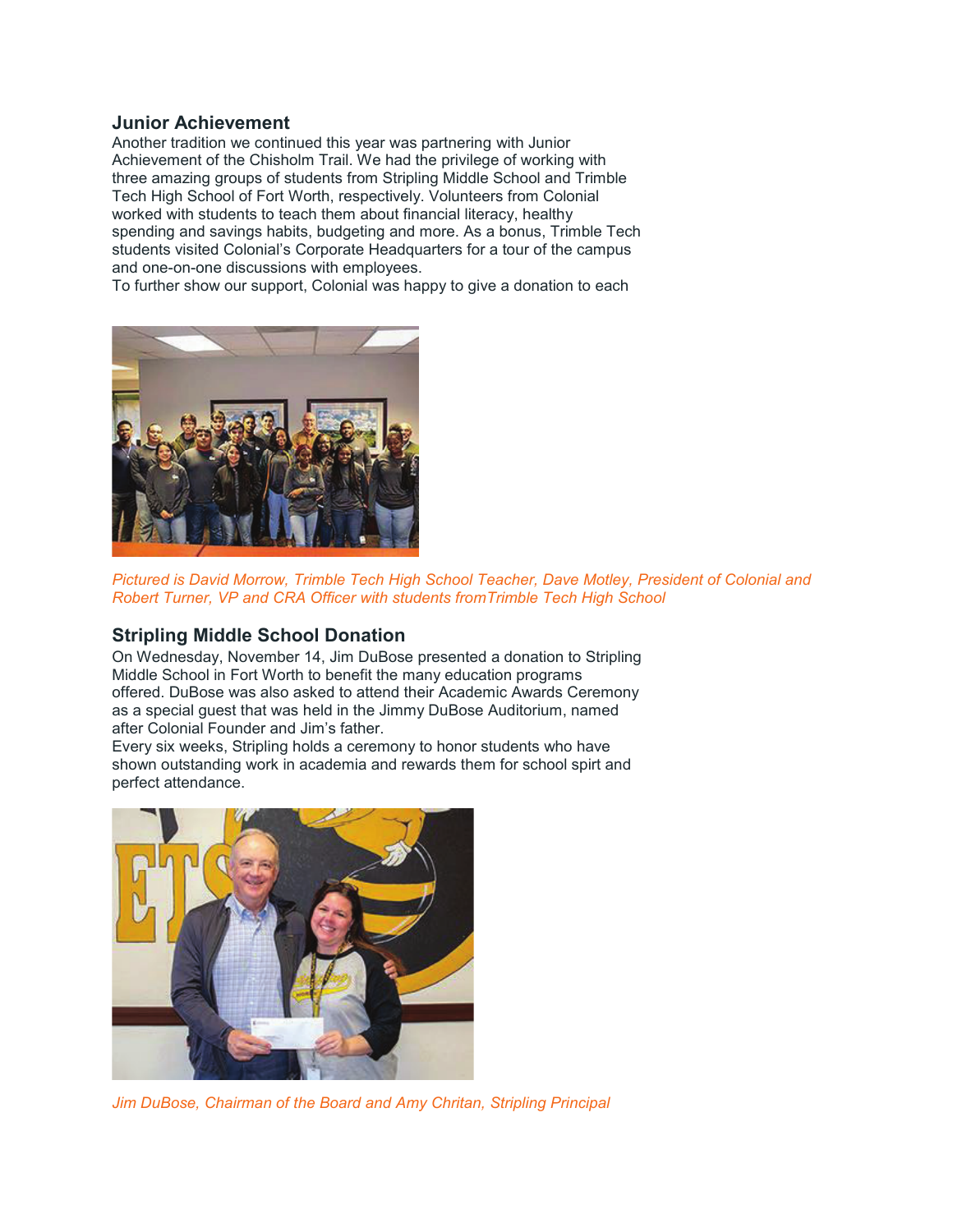#### **Junior Achievement**

Another tradition we continued this year was partnering with Junior Achievement of the Chisholm Trail. We had the privilege of working with three amazing groups of students from Stripling Middle School and Trimble Tech High School of Fort Worth, respectively. Volunteers from Colonial worked with students to teach them about financial literacy, healthy spending and savings habits, budgeting and more. As a bonus, Trimble Tech students visited Colonial's Corporate Headquarters for a tour of the campus and one-on-one discussions with employees.

To further show our support, Colonial was happy to give a donation to each



*Pictured is David Morrow, Trimble Tech High School Teacher, Dave Motley, President of Colonial and Robert Turner, VP and CRA Officer with students fromTrimble Tech High School* 

### **Stripling Middle School Donation**

On Wednesday, November 14, Jim DuBose presented a donation to Stripling Middle School in Fort Worth to benefit the many education programs offered. DuBose was also asked to attend their Academic Awards Ceremony as a special guest that was held in the Jimmy DuBose Auditorium, named after Colonial Founder and Jim's father.

Every six weeks, Stripling holds a ceremony to honor students who have shown outstanding work in academia and rewards them for school spirt and perfect attendance.



*Jim DuBose, Chairman of the Board and Amy Chritan, Stripling Principal*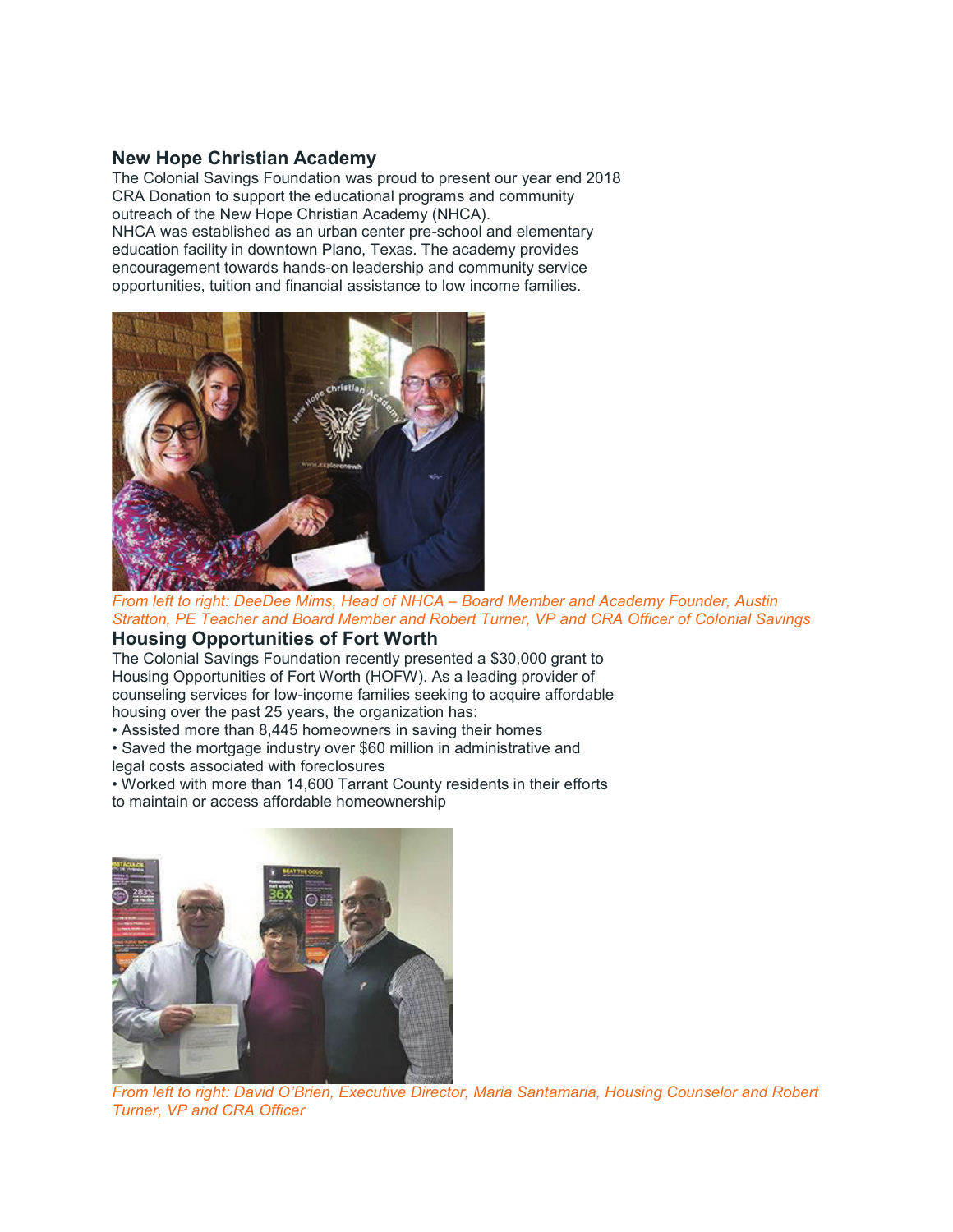#### **New Hope Christian Academy**

The Colonial Savings Foundation was proud to present our year end 2018 CRA Donation to support the educational programs and community outreach of the New Hope Christian Academy (NHCA).

NHCA was established as an urban center pre-school and elementary education facility in downtown Plano, Texas. The academy provides encouragement towards hands-on leadership and community service opportunities, tuition and financial assistance to low income families.



*From left to right: DeeDee Mims, Head of NHCA – Board Member and Academy Founder, Austin Stratton, PE Teacher and Board Member and Robert Turner, VP and CRA Officer of Colonial Savings* 

### **Housing Opportunities of Fort Worth**

The Colonial Savings Foundation recently presented a \$30,000 grant to Housing Opportunities of Fort Worth (HOFW). As a leading provider of counseling services for low-income families seeking to acquire affordable housing over the past 25 years, the organization has:

- Assisted more than 8,445 homeowners in saving their homes
- Saved the mortgage industry over \$60 million in administrative and legal costs associated with foreclosures
- Worked with more than 14,600 Tarrant County residents in their efforts to maintain or access affordable homeownership



*From left to right: David O'Brien, Executive Director, Maria Santamaria, Housing Counselor and Robert Turner, VP and CRA Officer*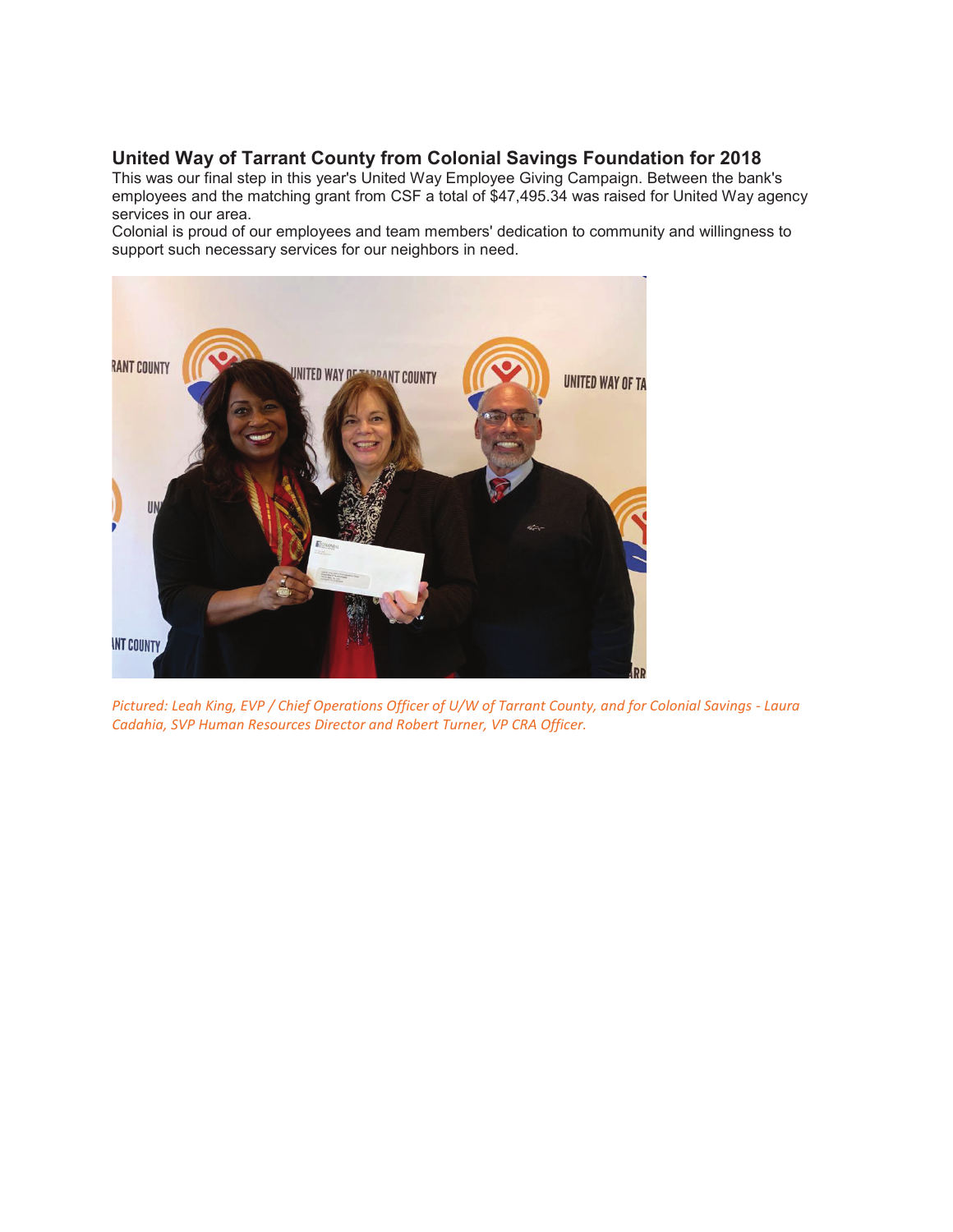# **United Way of Tarrant County from Colonial Savings Foundation for 2018**

This was our final step in this year's United Way Employee Giving Campaign. Between the bank's employees and the matching grant from CSF a total of \$47,495.34 was raised for United Way agency services in our area.

Colonial is proud of our employees and team members' dedication to community and willingness to support such necessary services for our neighbors in need.



*Pictured: Leah King, EVP / Chief Operations Officer of U/W of Tarrant County, and for Colonial Savings - Laura Cadahia, SVP Human Resources Director and Robert Turner, VP CRA Officer.*